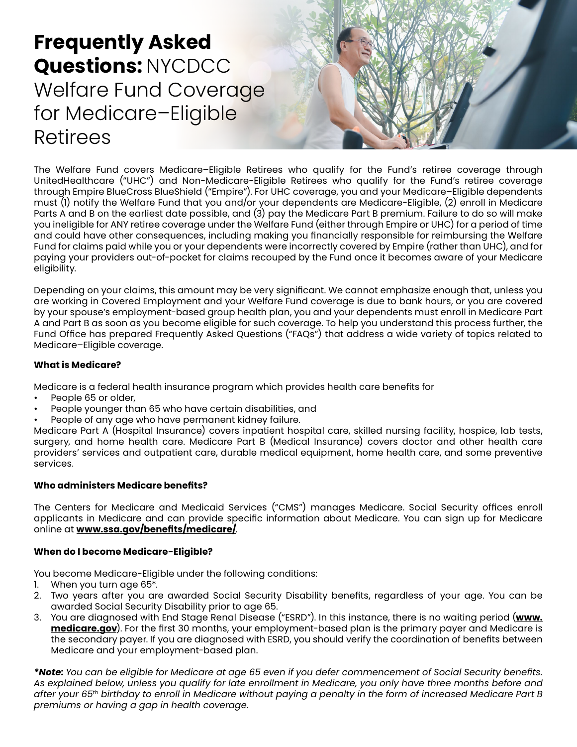# **Frequently Asked Questions:** NYCDCC Welfare Fund Coverage for Medicare–Eligible Retirees



The Welfare Fund covers Medicare–Eligible Retirees who qualify for the Fund's retiree coverage through UnitedHealthcare ("UHC") and Non-Medicare-Eligible Retirees who qualify for the Fund's retiree coverage through Empire BlueCross BlueShield ("Empire"). For UHC coverage, you and your Medicare–Eligible dependents must (1) notify the Welfare Fund that you and/or your dependents are Medicare-Eligible, (2) enroll in Medicare Parts A and B on the earliest date possible, and (3) pay the Medicare Part B premium. Failure to do so will make you ineligible for ANY retiree coverage under the Welfare Fund (either through Empire or UHC) for a period of time and could have other consequences, including making you financially responsible for reimbursing the Welfare Fund for claims paid while you or your dependents were incorrectly covered by Empire (rather than UHC), and for paying your providers out-of-pocket for claims recouped by the Fund once it becomes aware of your Medicare eligibility.

Depending on your claims, this amount may be very significant. We cannot emphasize enough that, unless you are working in Covered Employment and your Welfare Fund coverage is due to bank hours, or you are covered by your spouse's employment-based group health plan, you and your dependents must enroll in Medicare Part A and Part B as soon as you become eligible for such coverage. To help you understand this process further, the Fund Office has prepared Frequently Asked Questions ("FAQs") that address a wide variety of topics related to Medicare–Eligible coverage.

# **What is Medicare?**

Medicare is a federal health insurance program which provides health care benefits for

- People 65 or older,
- People younger than 65 who have certain disabilities, and
- People of any age who have permanent kidney failure.

Medicare Part A (Hospital Insurance) covers inpatient hospital care, skilled nursing facility, hospice, lab tests, surgery, and home health care. Medicare Part B (Medical Insurance) covers doctor and other health care providers' services and outpatient care, durable medical equipment, home health care, and some preventive services.

# **Who administers Medicare benefits?**

The Centers for Medicare and Medicaid Services ("CMS") manages Medicare. Social Security offices enroll applicants in Medicare and can provide specific information about Medicare. You can sign up for Medicare online at **[www.ssa.gov/benefits/medicare/](https://www.ssa.gov/benefits/medicare/)**.

## **When do I become Medicare-Eligible?**

You become Medicare-Eligible under the following conditions:

- 1. When you turn age 65\*.
- 2. Two years after you are awarded Social Security Disability benefits, regardless of your age. You can be awarded Social Security Disability prior to age 65.
- 3. You are diagnosed with End Stage Renal Disease ("ESRD"). In this instance, there is no waiting period (**[www.](https://www.medicare.gov/manageyour-health/i-have-end-stage-renal-disease-esrd) [medicare.gov](https://www.medicare.gov/manageyour-health/i-have-end-stage-renal-disease-esrd)**). For the first 30 months, your employment-based plan is the primary payer and Medicare is the secondary payer. If you are diagnosed with ESRD, you should verify the coordination of benefits between Medicare and your employment-based plan.

*\*Note: You can be eligible for Medicare at age 65 even if you defer commencement of Social Security benefits. As explained below, unless you qualify for late enrollment in Medicare, you only have three months before and after your 65th birthday to enroll in Medicare without paying a penalty in the form of increased Medicare Part B premiums or having a gap in health coverage.*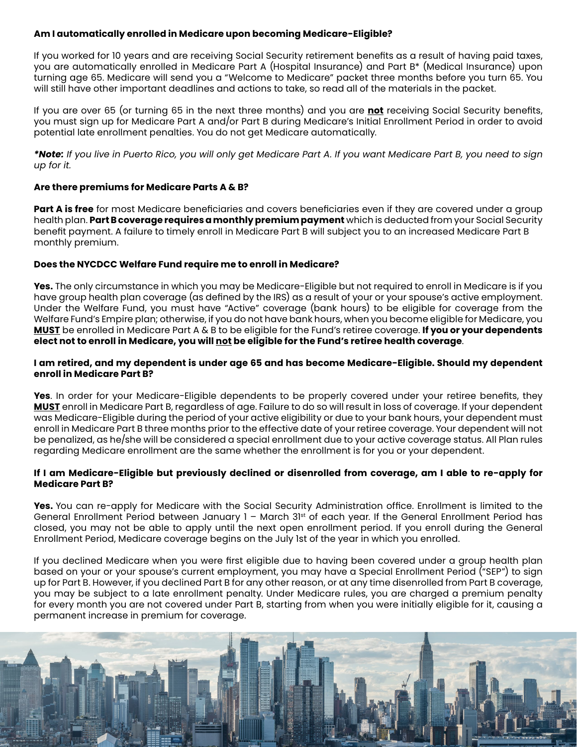## **Am I automatically enrolled in Medicare upon becoming Medicare-Eligible?**

If you worked for 10 years and are receiving Social Security retirement benefits as a result of having paid taxes, you are automatically enrolled in Medicare Part A (Hospital Insurance) and Part B\* (Medical Insurance) upon turning age 65. Medicare will send you a "Welcome to Medicare" packet three months before you turn 65. You will still have other important deadlines and actions to take, so read all of the materials in the packet.

If you are over 65 (or turning 65 in the next three months) and you are **not** receiving Social Security benefits, you must sign up for Medicare Part A and/or Part B during Medicare's Initial Enrollment Period in order to avoid potential late enrollment penalties. You do not get Medicare automatically.

*\*Note: If you live in Puerto Rico, you will only get Medicare Part A. If you want Medicare Part B, you need to sign up for it.*

## **Are there premiums for Medicare Parts A & B?**

**Part A is free** for most Medicare beneficiaries and covers beneficiaries even if they are covered under a group health plan. **Part B coverage requires a monthly premium payment** which is deducted from your Social Security benefit payment. A failure to timely enroll in Medicare Part B will subject you to an increased Medicare Part B monthly premium.

## **Does the NYCDCC Welfare Fund require me to enroll in Medicare?**

**Yes.** The only circumstance in which you may be Medicare-Eligible but not required to enroll in Medicare is if you have group health plan coverage (as defined by the IRS) as a result of your or your spouse's active employment. Under the Welfare Fund, you must have "Active" coverage (bank hours) to be eligible for coverage from the Welfare Fund's Empire plan; otherwise, if you do not have bank hours, when you become eligible for Medicare, you **MUST** be enrolled in Medicare Part A & B to be eligible for the Fund's retiree coverage. **If you or your dependents elect not to enroll in Medicare, you will not be eligible for the Fund's retiree health coverage**.

#### **I am retired, and my dependent is under age 65 and has become Medicare-Eligible. Should my dependent enroll in Medicare Part B?**

**Yes**. In order for your Medicare-Eligible dependents to be properly covered under your retiree benefits, they **MUST** enroll in Medicare Part B, regardless of age. Failure to do so will result in loss of coverage. If your dependent was Medicare-Eligible during the period of your active eligibility or due to your bank hours, your dependent must enroll in Medicare Part B three months prior to the effective date of your retiree coverage. Your dependent will not be penalized, as he/she will be considered a special enrollment due to your active coverage status. All Plan rules regarding Medicare enrollment are the same whether the enrollment is for you or your dependent.

## **If I am Medicare-Eligible but previously declined or disenrolled from coverage, am I able to re-apply for Medicare Part B?**

**Yes.** You can re-apply for Medicare with the Social Security Administration office. Enrollment is limited to the General Enrollment Period between January 1 - March 31st of each year. If the General Enrollment Period has closed, you may not be able to apply until the next open enrollment period. If you enroll during the General Enrollment Period, Medicare coverage begins on the July 1st of the year in which you enrolled.

If you declined Medicare when you were first eligible due to having been covered under a group health plan based on your or your spouse's current employment, you may have a Special Enrollment Period ("SEP") to sign up for Part B. However, if you declined Part B for any other reason, or at any time disenrolled from Part B coverage, you may be subject to a late enrollment penalty. Under Medicare rules, you are charged a premium penalty for every month you are not covered under Part B, starting from when you were initially eligible for it, causing a permanent increase in premium for coverage.

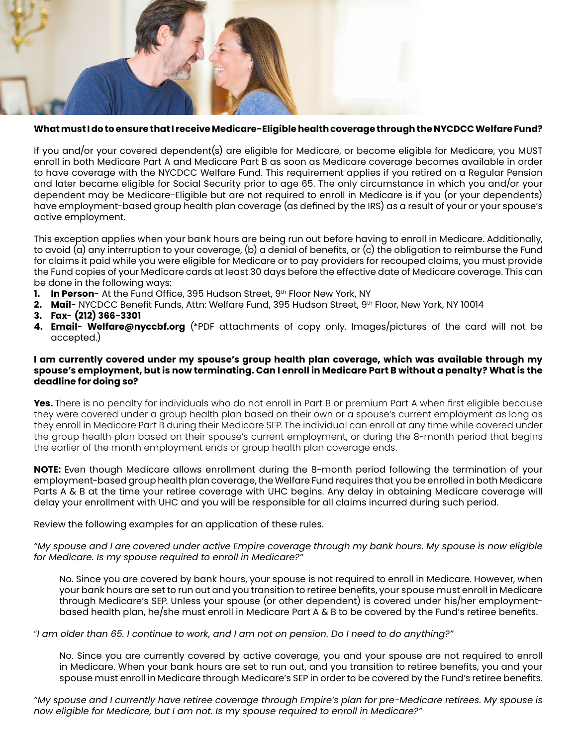

## **What must I do to ensure that I receive Medicare-Eligible health coverage through the NYCDCC Welfare Fund?**

If you and/or your covered dependent(s) are eligible for Medicare, or become eligible for Medicare, you MUST enroll in both Medicare Part A and Medicare Part B as soon as Medicare coverage becomes available in order to have coverage with the NYCDCC Welfare Fund. This requirement applies if you retired on a Regular Pension and later became eligible for Social Security prior to age 65. The only circumstance in which you and/or your dependent may be Medicare-Eligible but are not required to enroll in Medicare is if you (or your dependents) have employment-based group health plan coverage (as defined by the IRS) as a result of your or your spouse's active employment.

This exception applies when your bank hours are being run out before having to enroll in Medicare. Additionally, to avoid (a) any interruption to your coverage, (b) a denial of benefits, or (c) the obligation to reimburse the Fund for claims it paid while you were eligible for Medicare or to pay providers for recouped claims, you must provide the Fund copies of your Medicare cards at least 30 days before the effective date of Medicare coverage. This can be done in the following ways:

- **1. In Person** At the Fund Office, 395 Hudson Street, 9<sup>th</sup> Floor New York, NY
- **2. Mail** NYCDCC Benefit Funds, Attn: Welfare Fund, 395 Hudson Street, 9th Floor, New York, NY 10014
- **3. Fax (212) 366-3301**
- **4. Email Welfare@nyccbf.org** (\*PDF attachments of copy only. Images/pictures of the card will not be accepted.)

#### **I am currently covered under my spouse's group health plan coverage, which was available through my spouse's employment, but is now terminating. Can I enroll in Medicare Part B without a penalty? What is the deadline for doing so?**

**Yes.** There is no penalty for individuals who do not enroll in Part B or premium Part A when first eligible because they were covered under a group health plan based on their own or a spouse's current employment as long as they enroll in Medicare Part B during their Medicare SEP. The individual can enroll at any time while covered under the group health plan based on their spouse's current employment, or during the 8-month period that begins the earlier of the month employment ends or group health plan coverage ends.

**NOTE:** Even though Medicare allows enrollment during the 8-month period following the termination of your employment-based group health plan coverage, the Welfare Fund requires that you be enrolled in both Medicare Parts A & B at the time your retiree coverage with UHC begins. Any delay in obtaining Medicare coverage will delay your enrollment with UHC and you will be responsible for all claims incurred during such period.

Review the following examples for an application of these rules.

*"My spouse and I are covered under active Empire coverage through my bank hours. My spouse is now eligible for Medicare. Is my spouse required to enroll in Medicare?"*

No. Since you are covered by bank hours, your spouse is not required to enroll in Medicare. However, when your bank hours are set to run out and you transition to retiree benefits, your spouse must enroll in Medicare through Medicare's SEP. Unless your spouse (or other dependent) is covered under his/her employmentbased health plan, he/she must enroll in Medicare Part A & B to be covered by the Fund's retiree benefits.

"*I am older than 65. I continue to work, and I am not on pension. Do I need to do anything?"*

No. Since you are currently covered by active coverage, you and your spouse are not required to enroll in Medicare. When your bank hours are set to run out, and you transition to retiree benefits, you and your spouse must enroll in Medicare through Medicare's SEP in order to be covered by the Fund's retiree benefits.

*"My spouse and I currently have retiree coverage through Empire's plan for pre-Medicare retirees. My spouse is now eligible for Medicare, but I am not. Is my spouse required to enroll in Medicare?"*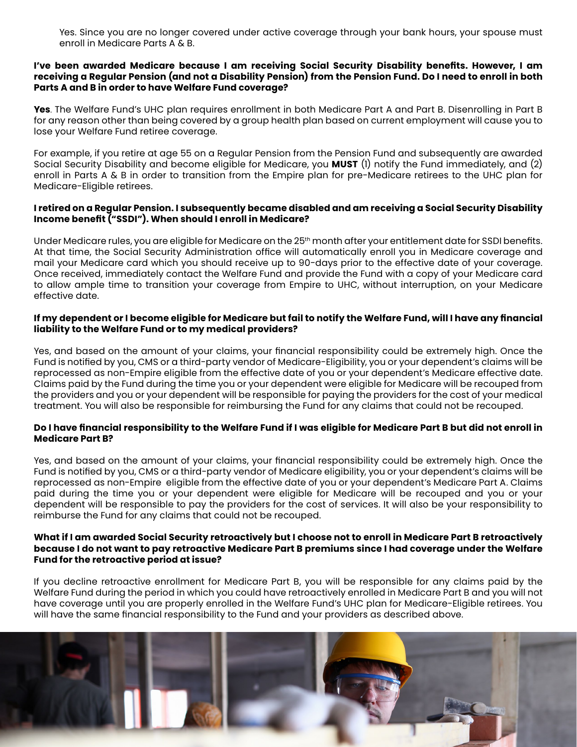Yes. Since you are no longer covered under active coverage through your bank hours, your spouse must enroll in Medicare Parts A & B.

#### **I've been awarded Medicare because I am receiving Social Security Disability benefits. However, I am receiving a Regular Pension (and not a Disability Pension) from the Pension Fund. Do I need to enroll in both Parts A and B in order to have Welfare Fund coverage?**

**Yes**. The Welfare Fund's UHC plan requires enrollment in both Medicare Part A and Part B. Disenrolling in Part B for any reason other than being covered by a group health plan based on current employment will cause you to lose your Welfare Fund retiree coverage.

For example, if you retire at age 55 on a Regular Pension from the Pension Fund and subsequently are awarded Social Security Disability and become eligible for Medicare, you **MUST** (1) notify the Fund immediately, and (2) enroll in Parts A & B in order to transition from the Empire plan for pre-Medicare retirees to the UHC plan for Medicare-Eligible retirees.

## **I retired on a Regular Pension. I subsequently became disabled and am receiving a Social Security Disability Income benefit ("SSDI"). When should I enroll in Medicare?**

Under Medicare rules, you are eligible for Medicare on the 25<sup>th</sup> month after your entitlement date for SSDI benefits. At that time, the Social Security Administration office will automatically enroll you in Medicare coverage and mail your Medicare card which you should receive up to 90-days prior to the effective date of your coverage. Once received, immediately contact the Welfare Fund and provide the Fund with a copy of your Medicare card to allow ample time to transition your coverage from Empire to UHC, without interruption, on your Medicare effective date.

## **If my dependent or I become eligible for Medicare but fail to notify the Welfare Fund, will I have any financial liability to the Welfare Fund or to my medical providers?**

Yes, and based on the amount of your claims, your financial responsibility could be extremely high. Once the Fund is notified by you, CMS or a third-party vendor of Medicare-Eligibility, you or your dependent's claims will be reprocessed as non-Empire eligible from the effective date of you or your dependent's Medicare effective date. Claims paid by the Fund during the time you or your dependent were eligible for Medicare will be recouped from the providers and you or your dependent will be responsible for paying the providers for the cost of your medical treatment. You will also be responsible for reimbursing the Fund for any claims that could not be recouped.

## **Do I have financial responsibility to the Welfare Fund if I was eligible for Medicare Part B but did not enroll in Medicare Part B?**

Yes, and based on the amount of your claims, your financial responsibility could be extremely high. Once the Fund is notified by you, CMS or a third-party vendor of Medicare eligibility, you or your dependent's claims will be reprocessed as non-Empire eligible from the effective date of you or your dependent's Medicare Part A. Claims paid during the time you or your dependent were eligible for Medicare will be recouped and you or your dependent will be responsible to pay the providers for the cost of services. It will also be your responsibility to reimburse the Fund for any claims that could not be recouped.

#### **What if I am awarded Social Security retroactively but I choose not to enroll in Medicare Part B retroactively because I do not want to pay retroactive Medicare Part B premiums since I had coverage under the Welfare Fund for the retroactive period at issue?**

If you decline retroactive enrollment for Medicare Part B, you will be responsible for any claims paid by the Welfare Fund during the period in which you could have retroactively enrolled in Medicare Part B and you will not have coverage until you are properly enrolled in the Welfare Fund's UHC plan for Medicare-Eligible retirees. You will have the same financial responsibility to the Fund and your providers as described above.